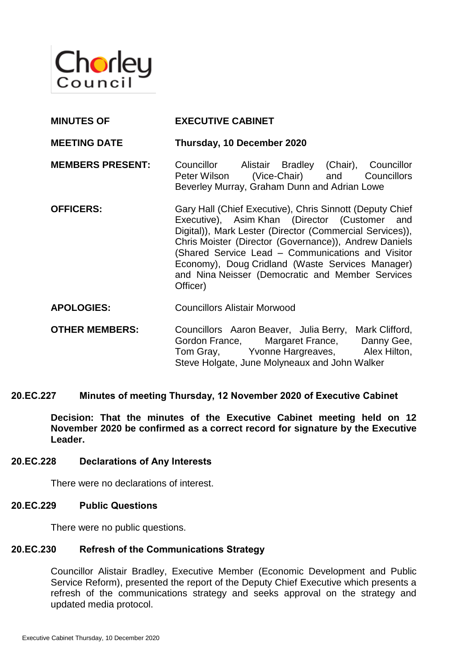

| <b>MEETING DATE</b>     | Thursday, 10 December 2020                                                                                                                                                                                                                                                          |
|-------------------------|-------------------------------------------------------------------------------------------------------------------------------------------------------------------------------------------------------------------------------------------------------------------------------------|
| <b>MEMBERS PRESENT:</b> | Councillor Alistair Bradley<br>(Chair), Councillor<br>(Vice-Chair) and Councillors<br>Peter Wilson<br>Beverley Murray, Graham Dunn and Adrian Lowe                                                                                                                                  |
| <b>OFFICERS:</b>        | Gary Hall (Chief Executive), Chris Sinnott (Deputy Chief<br>Executive), Asim Khan (Director (Customer and<br>Digital)), Mark Lester (Director (Commercial Services)),<br>Chris Moister (Director (Governance)), Andrew Daniels<br>(Shared Service Lead – Communications and Visitor |

Chris Moister (Director (Governance)), Andrew Daniels (Shared Service Lead – Communications and Visitor Economy), Doug Cridland (Waste Services Manager) and Nina Neisser (Democratic and Member Services Officer)

**APOLOGIES:** Councillors Alistair Morwood

**MINUTES OF EXECUTIVE CABINET**

**OTHER MEMBERS:** Councillors Aaron Beaver, Julia Berry, Mark Clifford, Gordon France, Margaret France, Danny Gee, Tom Gray, Yvonne Hargreaves, Alex Hilton, Steve Holgate, June Molyneaux and John Walker

### **20.EC.227 Minutes of meeting Thursday, 12 November 2020 of Executive Cabinet**

**Decision: That the minutes of the Executive Cabinet meeting held on 12 November 2020 be confirmed as a correct record for signature by the Executive Leader.**

### **20.EC.228 Declarations of Any Interests**

There were no declarations of interest.

### **20.EC.229 Public Questions**

There were no public questions.

### **20.EC.230 Refresh of the Communications Strategy**

Councillor Alistair Bradley, Executive Member (Economic Development and Public Service Reform), presented the report of the Deputy Chief Executive which presents a refresh of the communications strategy and seeks approval on the strategy and updated media protocol.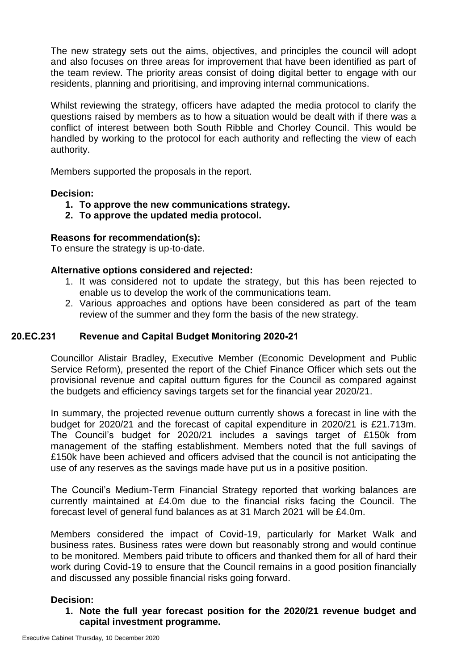The new strategy sets out the aims, objectives, and principles the council will adopt and also focuses on three areas for improvement that have been identified as part of the team review. The priority areas consist of doing digital better to engage with our residents, planning and prioritising, and improving internal communications.

Whilst reviewing the strategy, officers have adapted the media protocol to clarify the questions raised by members as to how a situation would be dealt with if there was a conflict of interest between both South Ribble and Chorley Council. This would be handled by working to the protocol for each authority and reflecting the view of each authority.

Members supported the proposals in the report.

## **Decision:**

- **1. To approve the new communications strategy.**
- **2. To approve the updated media protocol.**

### **Reasons for recommendation(s):**

To ensure the strategy is up-to-date.

### **Alternative options considered and rejected:**

- 1. It was considered not to update the strategy, but this has been rejected to enable us to develop the work of the communications team.
- 2. Various approaches and options have been considered as part of the team review of the summer and they form the basis of the new strategy.

## **20.EC.231 Revenue and Capital Budget Monitoring 2020-21**

Councillor Alistair Bradley, Executive Member (Economic Development and Public Service Reform), presented the report of the Chief Finance Officer which sets out the provisional revenue and capital outturn figures for the Council as compared against the budgets and efficiency savings targets set for the financial year 2020/21.

In summary, the projected revenue outturn currently shows a forecast in line with the budget for 2020/21 and the forecast of capital expenditure in 2020/21 is £21.713m. The Council's budget for 2020/21 includes a savings target of £150k from management of the staffing establishment. Members noted that the full savings of £150k have been achieved and officers advised that the council is not anticipating the use of any reserves as the savings made have put us in a positive position.

The Council's Medium-Term Financial Strategy reported that working balances are currently maintained at £4.0m due to the financial risks facing the Council. The forecast level of general fund balances as at 31 March 2021 will be £4.0m.

Members considered the impact of Covid-19, particularly for Market Walk and business rates. Business rates were down but reasonably strong and would continue to be monitored. Members paid tribute to officers and thanked them for all of hard their work during Covid-19 to ensure that the Council remains in a good position financially and discussed any possible financial risks going forward.

### **Decision:**

## **1. Note the full year forecast position for the 2020/21 revenue budget and capital investment programme.**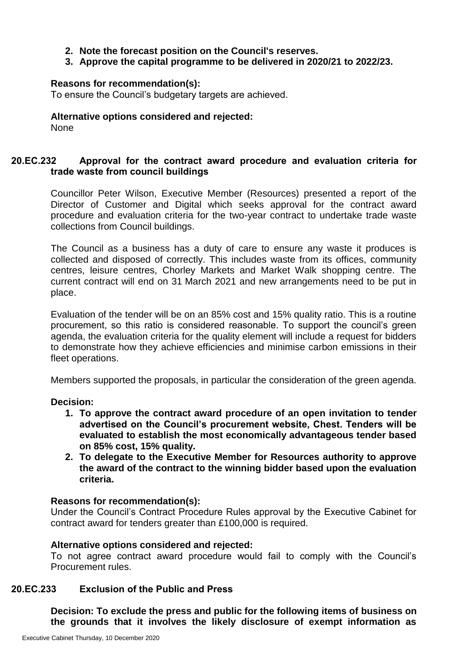## **2. Note the forecast position on the Council's reserves.**

### **3. Approve the capital programme to be delivered in 2020/21 to 2022/23.**

#### **Reasons for recommendation(s):**

To ensure the Council's budgetary targets are achieved.

#### **Alternative options considered and rejected:** None

# **20.EC.232 Approval for the contract award procedure and evaluation criteria for trade waste from council buildings**

Councillor Peter Wilson, Executive Member (Resources) presented a report of the Director of Customer and Digital which seeks approval for the contract award procedure and evaluation criteria for the two-year contract to undertake trade waste collections from Council buildings.

The Council as a business has a duty of care to ensure any waste it produces is collected and disposed of correctly. This includes waste from its offices, community centres, leisure centres, Chorley Markets and Market Walk shopping centre. The current contract will end on 31 March 2021 and new arrangements need to be put in place.

Evaluation of the tender will be on an 85% cost and 15% quality ratio. This is a routine procurement, so this ratio is considered reasonable. To support the council's green agenda, the evaluation criteria for the quality element will include a request for bidders to demonstrate how they achieve efficiencies and minimise carbon emissions in their fleet operations.

Members supported the proposals, in particular the consideration of the green agenda.

### **Decision:**

- **1. To approve the contract award procedure of an open invitation to tender advertised on the Council's procurement website, Chest. Tenders will be evaluated to establish the most economically advantageous tender based on 85% cost, 15% quality.**
- **2. To delegate to the Executive Member for Resources authority to approve the award of the contract to the winning bidder based upon the evaluation criteria.**

### **Reasons for recommendation(s):**

Under the Council's Contract Procedure Rules approval by the Executive Cabinet for contract award for tenders greater than £100,000 is required.

### **Alternative options considered and rejected:**

To not agree contract award procedure would fail to comply with the Council's Procurement rules.

### **20.EC.233 Exclusion of the Public and Press**

**Decision: To exclude the press and public for the following items of business on the grounds that it involves the likely disclosure of exempt information as**